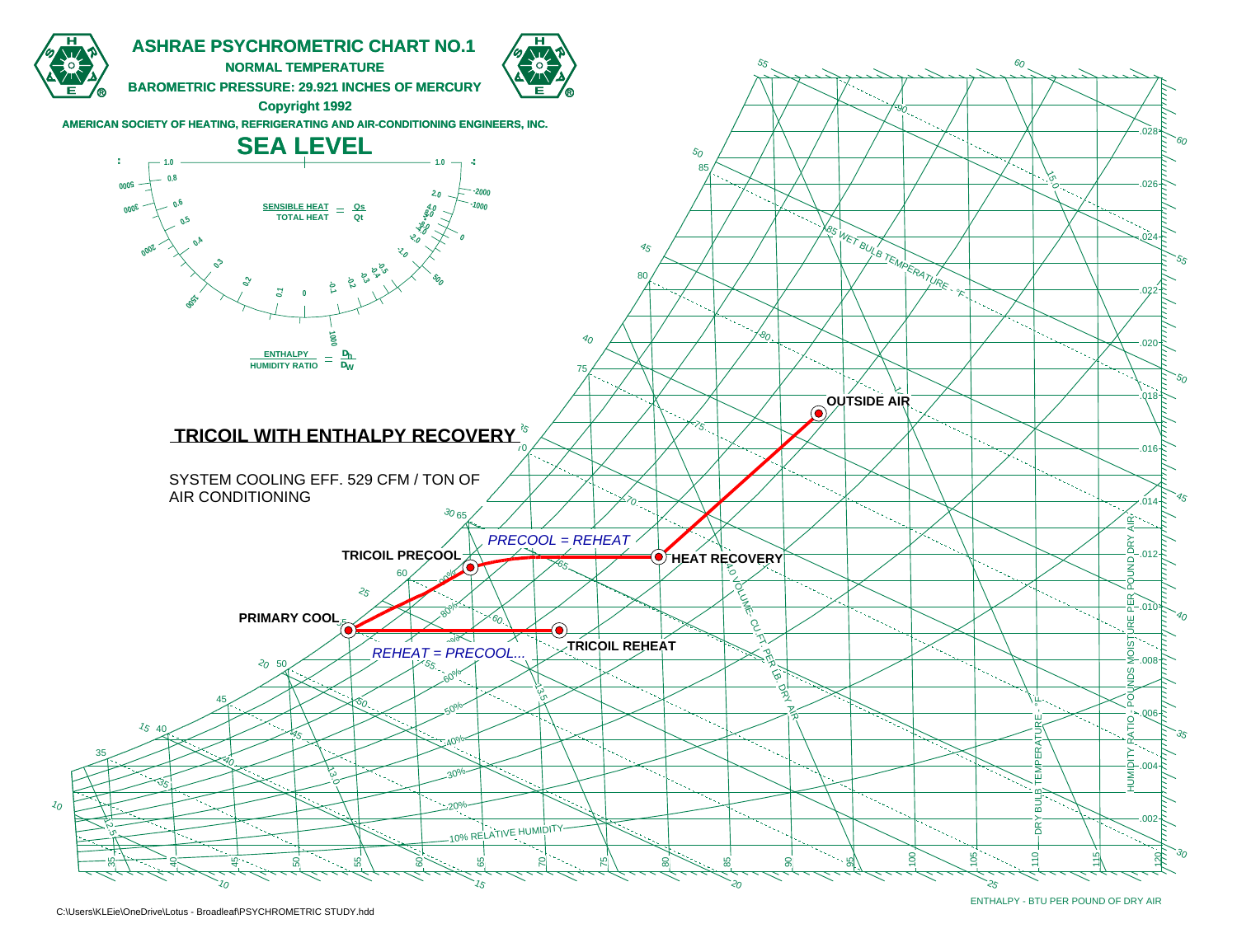

ENTHALPY - BTU PER POUND OF DRY AIR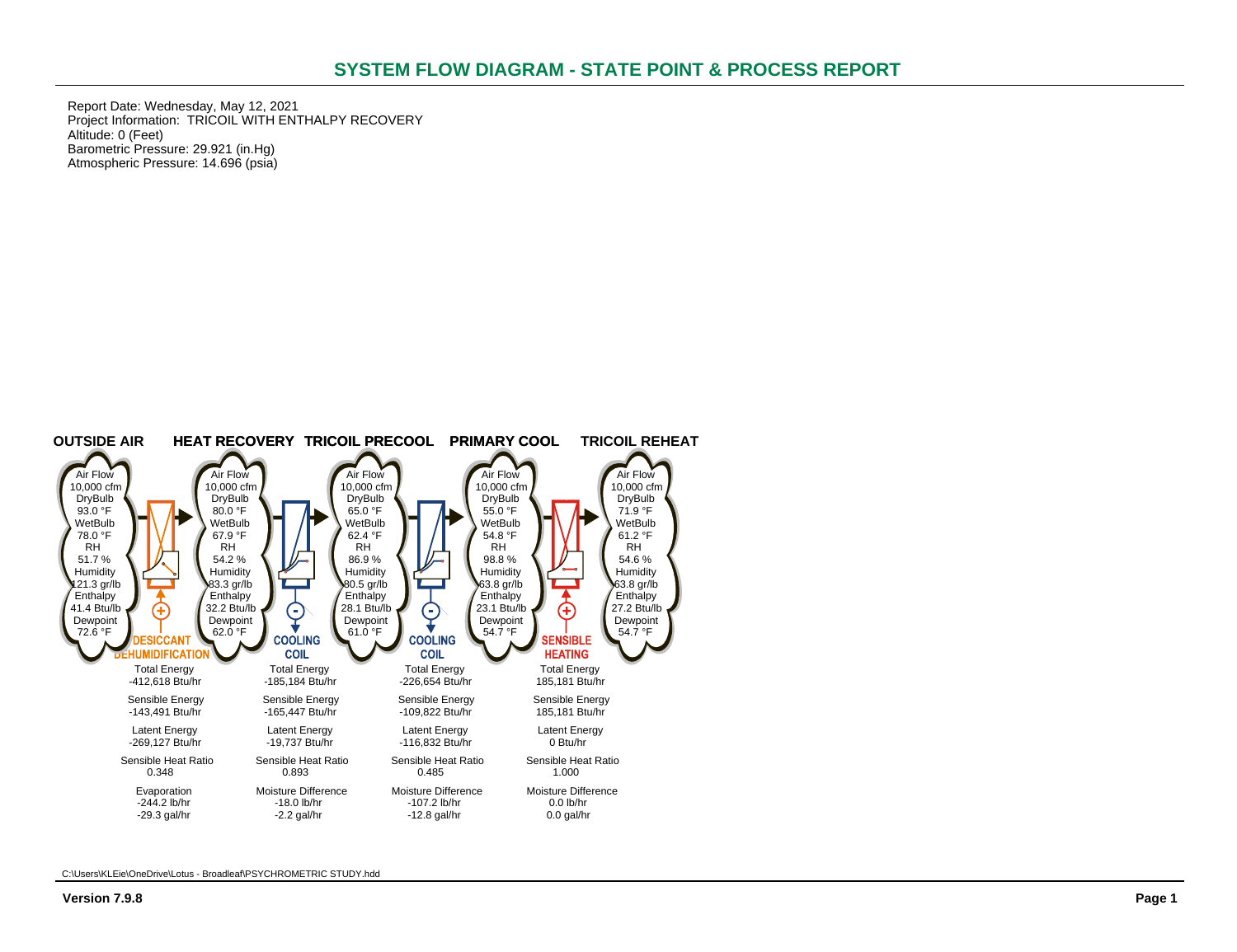Report Date: Wednesday, May 12, 2021 Project Information: TRICOIL WITH ENTHALPY RECOVERY Altitude: 0 (Feet) Barometric Pressure: 29.921 (in.Hg) Atmospheric Pressure: 14.696 (psia)